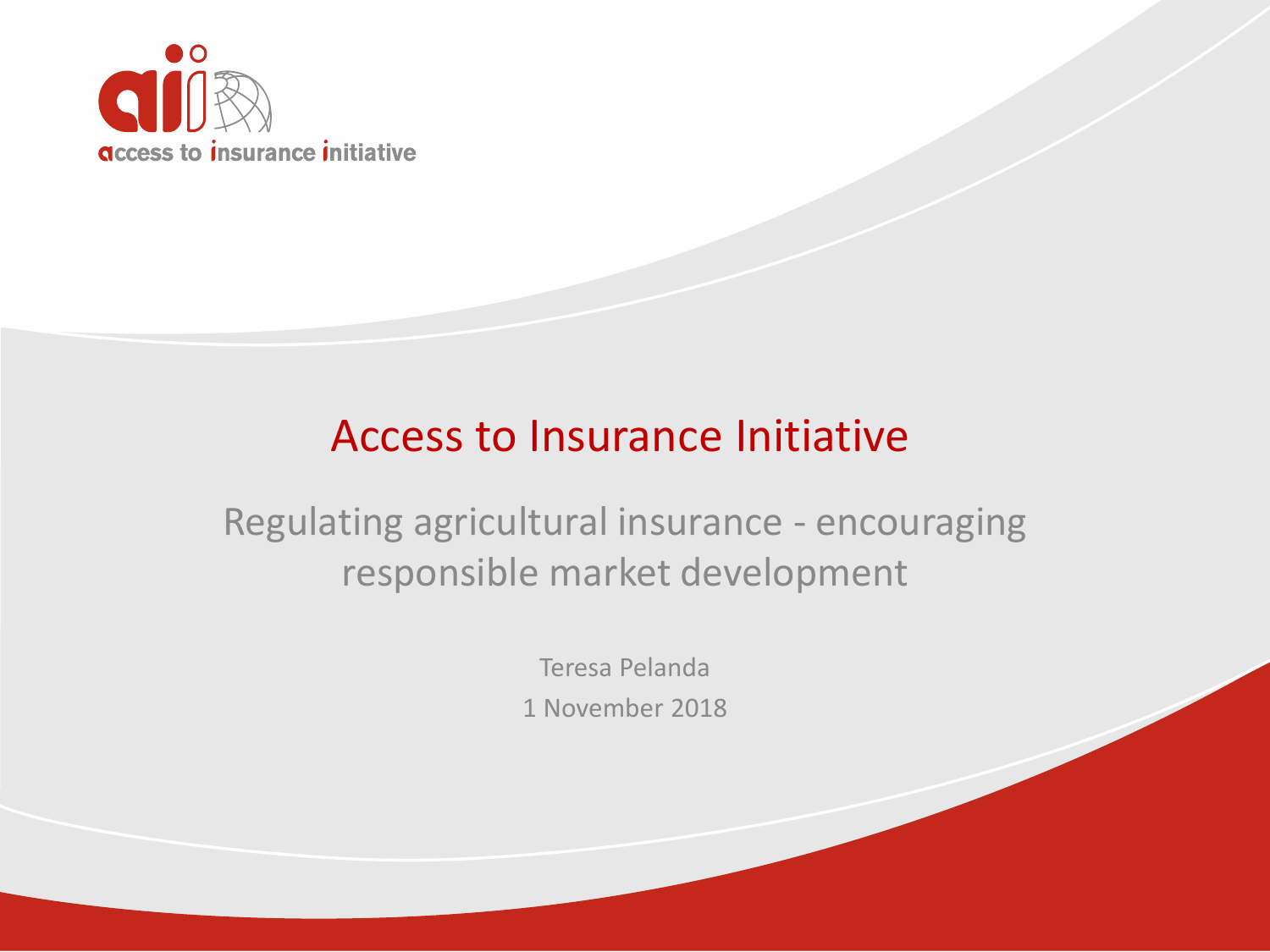

#### Access to Insurance Initiative

Regulating agricultural insurance - encouraging responsible market development

> Teresa Pelanda 1 November 2018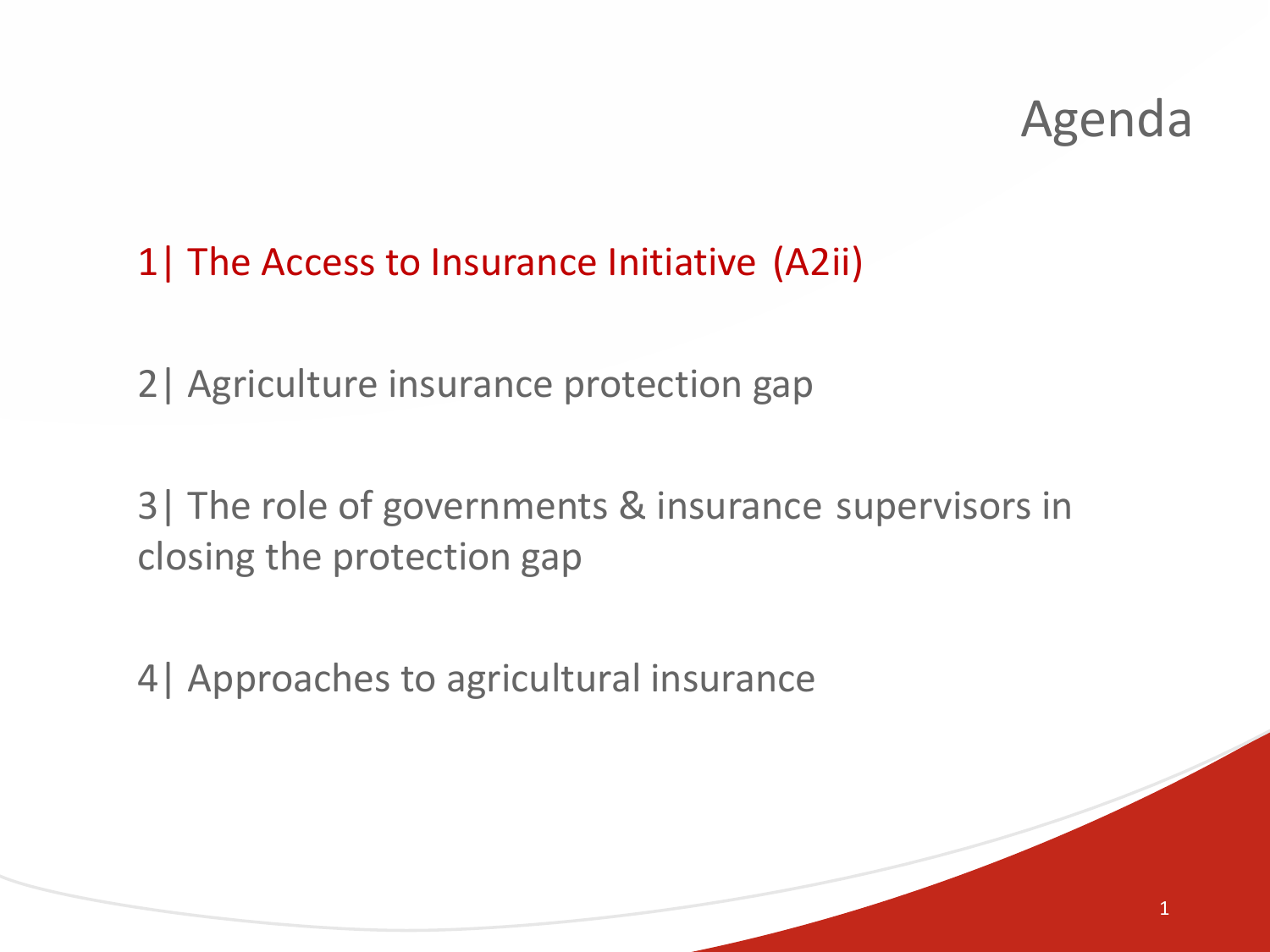1

#### 1| The Access to Insurance Initiative (A2ii)

2| Agriculture insurance protection gap

3| The role of governments & insurance supervisors in closing the protection gap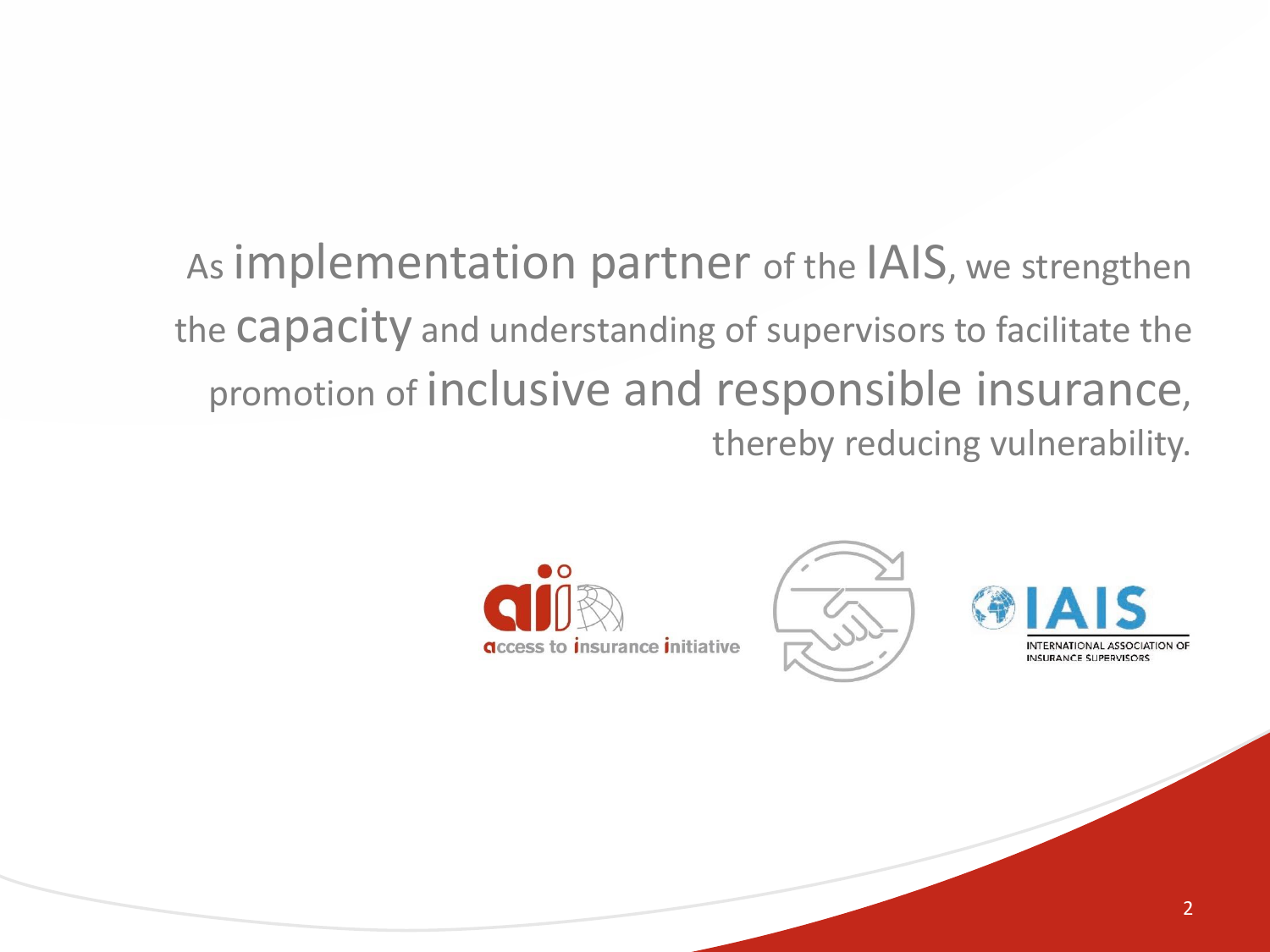As implementation partner of the IAIS, we strengthen the Capacity and understanding of supervisors to facilitate the promotion of inclusive and responsible insurance, thereby reducing vulnerability.





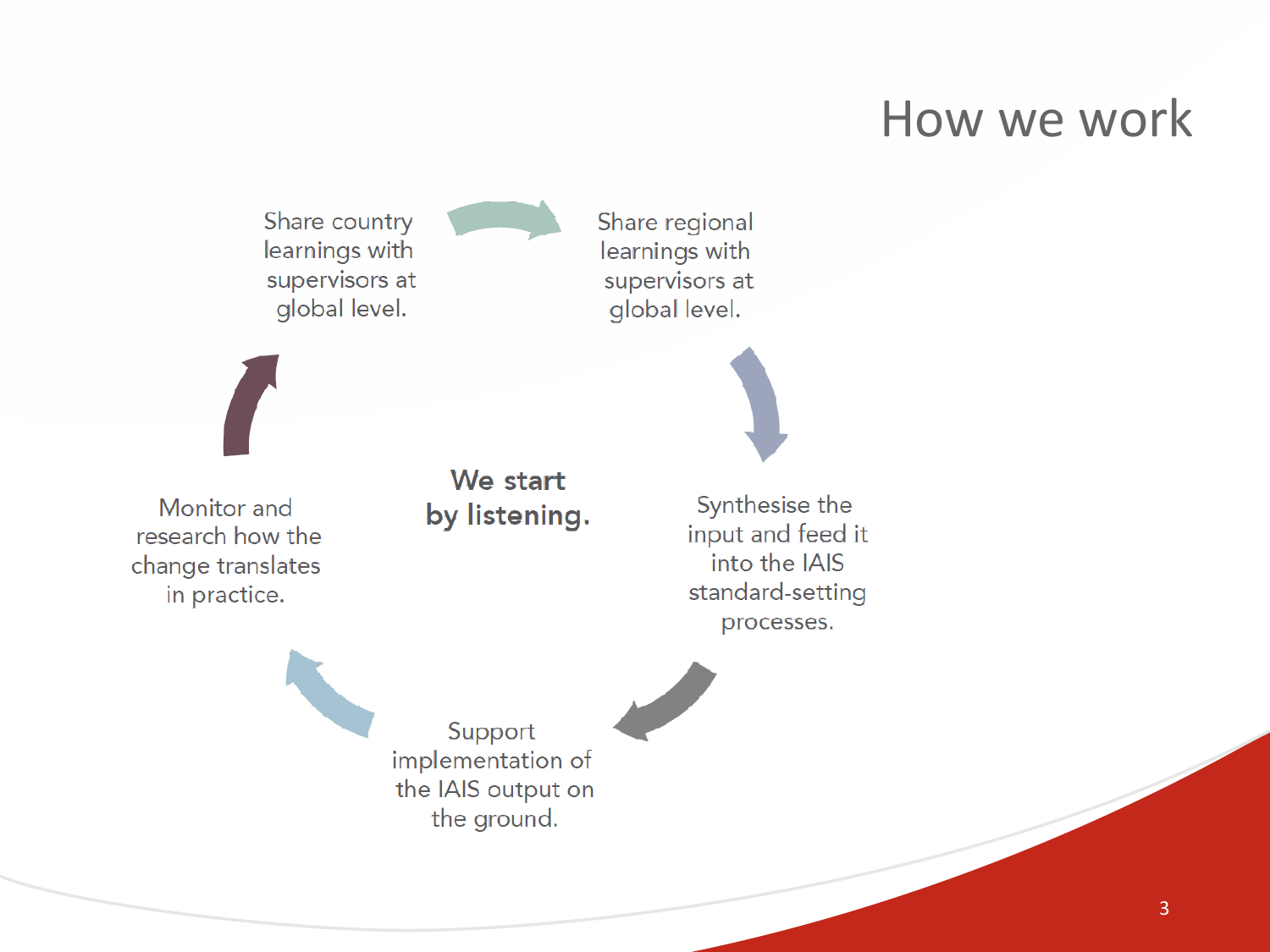#### How we work

Share country learnings with supervisors at global level.

Share regional learnings with supervisors at global level.

Monitor and research how the change translates in practice.

We start by listening.

Synthesise the input and feed it into the IAIS standard-setting processes.

Support implementation of the IAIS output on the ground.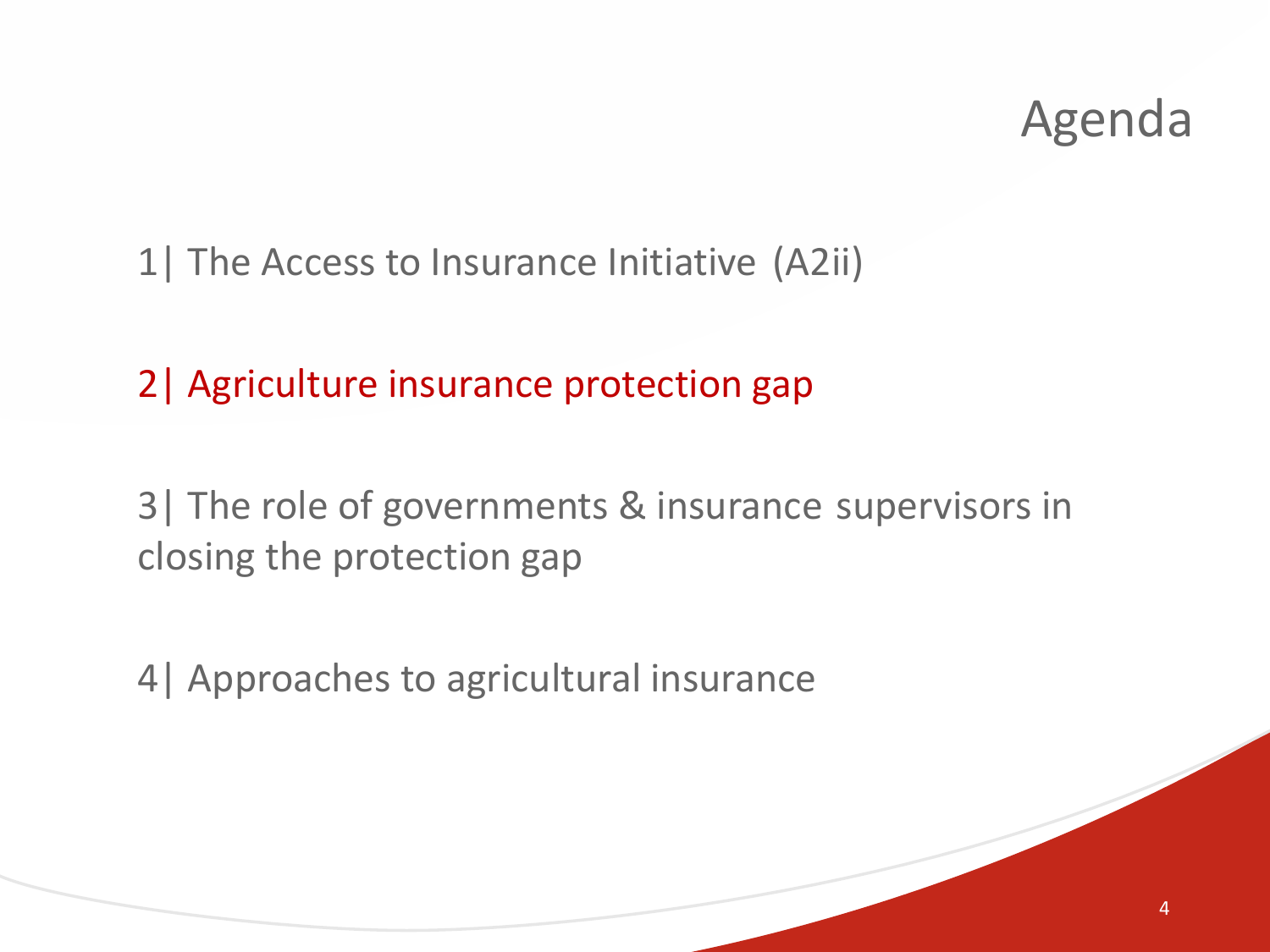1| The Access to Insurance Initiative (A2ii)

2| Agriculture insurance protection gap

3| The role of governments & insurance supervisors in closing the protection gap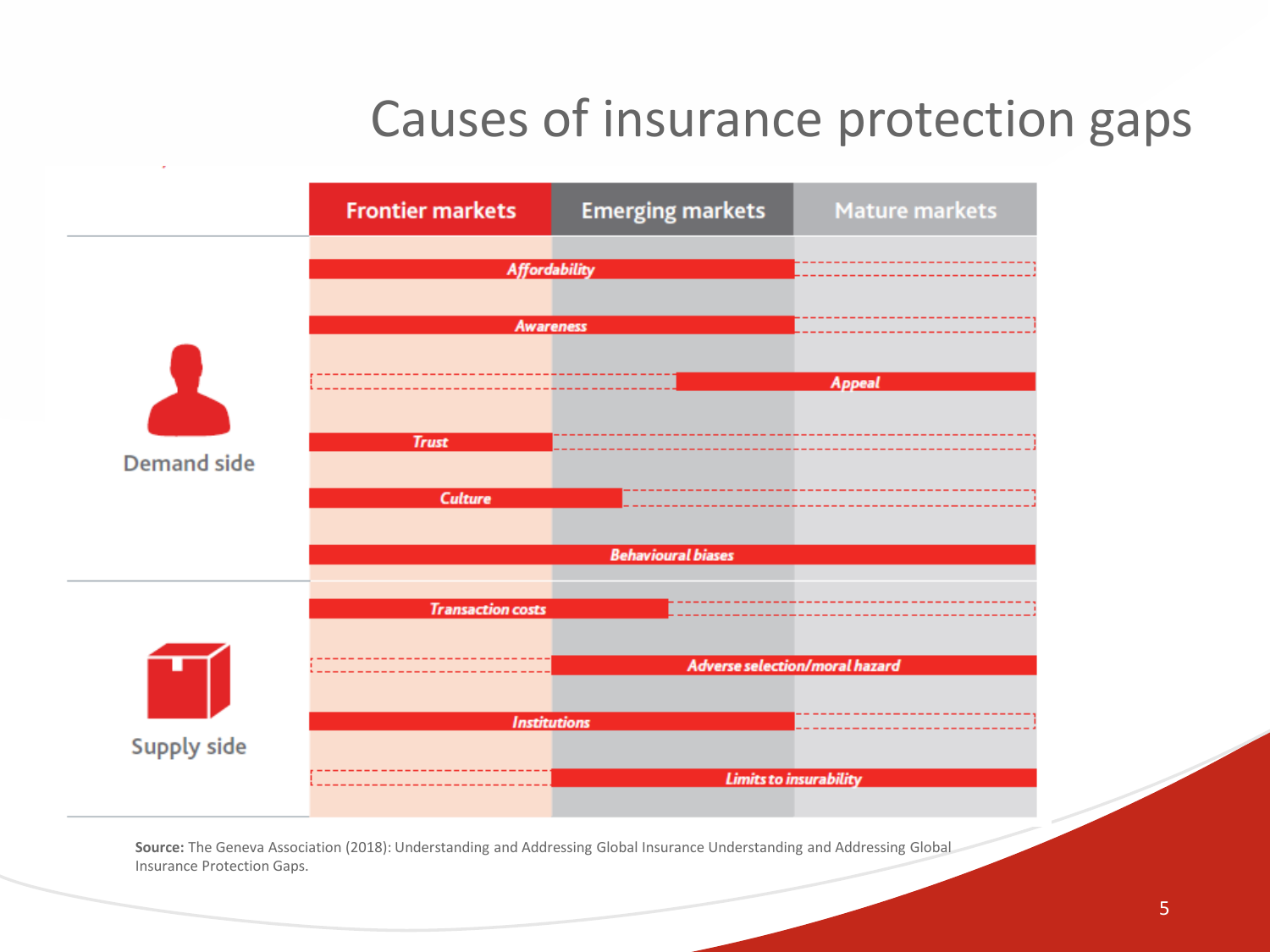### Causes of insurance protection gaps



**Source:** The Geneva Association (2018): Understanding and Addressing Global Insurance Understanding and Addressing Global Insurance Protection Gaps.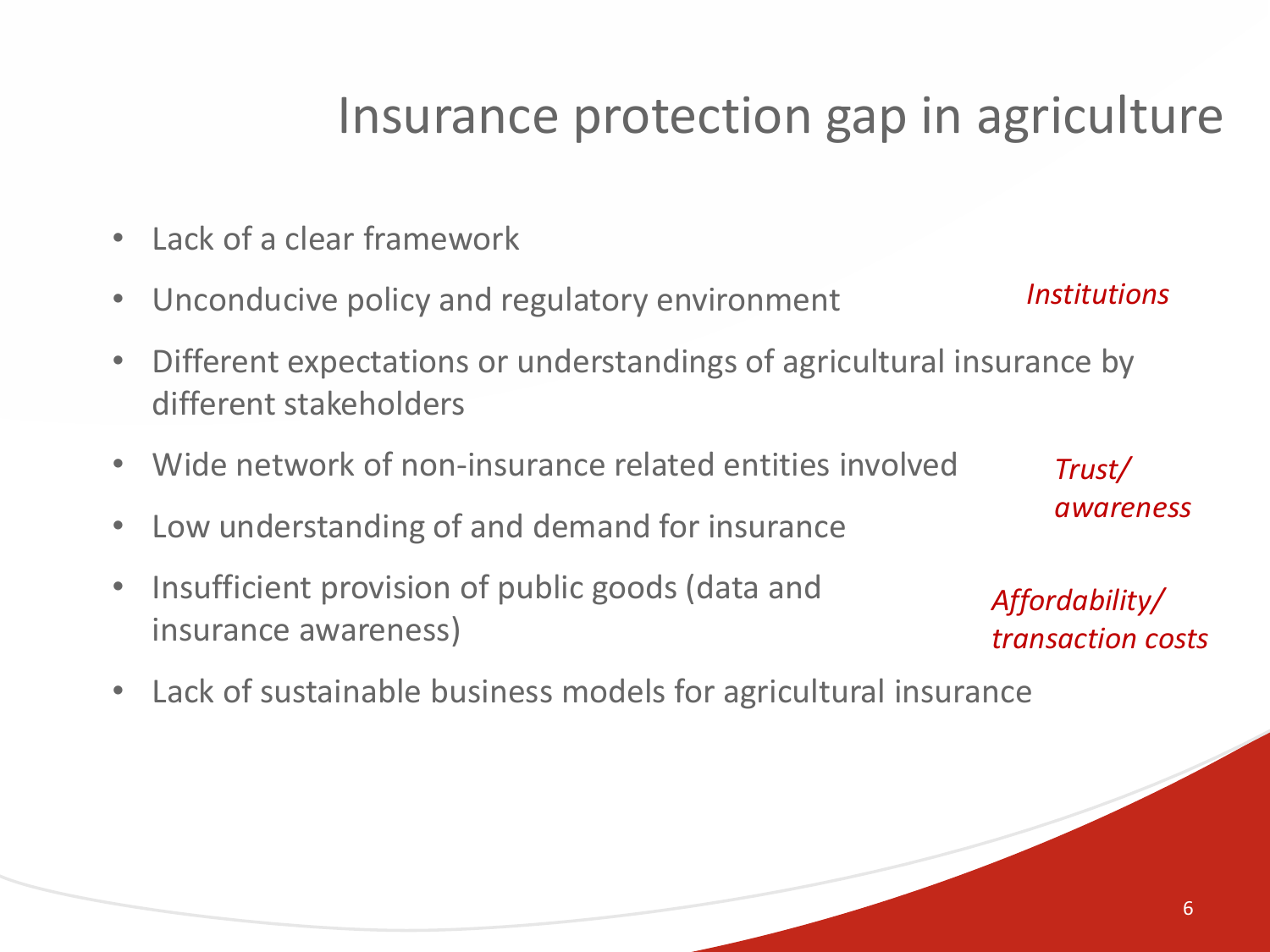#### Insurance protection gap in agriculture

- Lack of a clear framework
- Unconducive policy and regulatory environment
- Different expectations or understandings of agricultural insurance by different stakeholders
- Wide network of non-insurance related entities involved
- Low understanding of and demand for insurance
- Insufficient provision of public goods (data and insurance awareness)
	- *Affordability/ transaction costs*
- Lack of sustainable business models for agricultural insurance

*Institutions*

*Trust/* 

*awareness*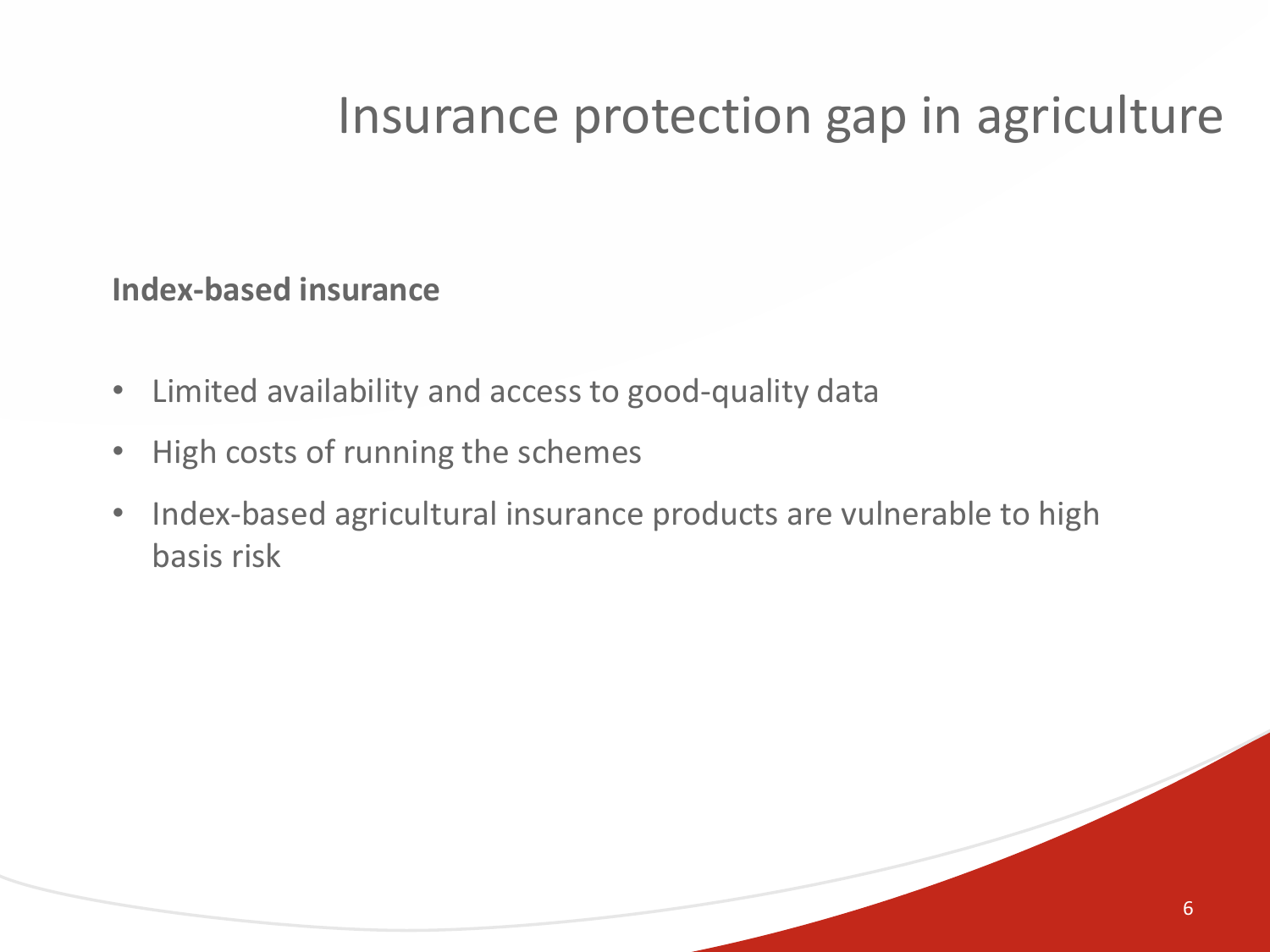### Insurance protection gap in agriculture

#### **Index-based insurance**

- Limited availability and access to good-quality data
- High costs of running the schemes
- Index-based agricultural insurance products are vulnerable to high basis risk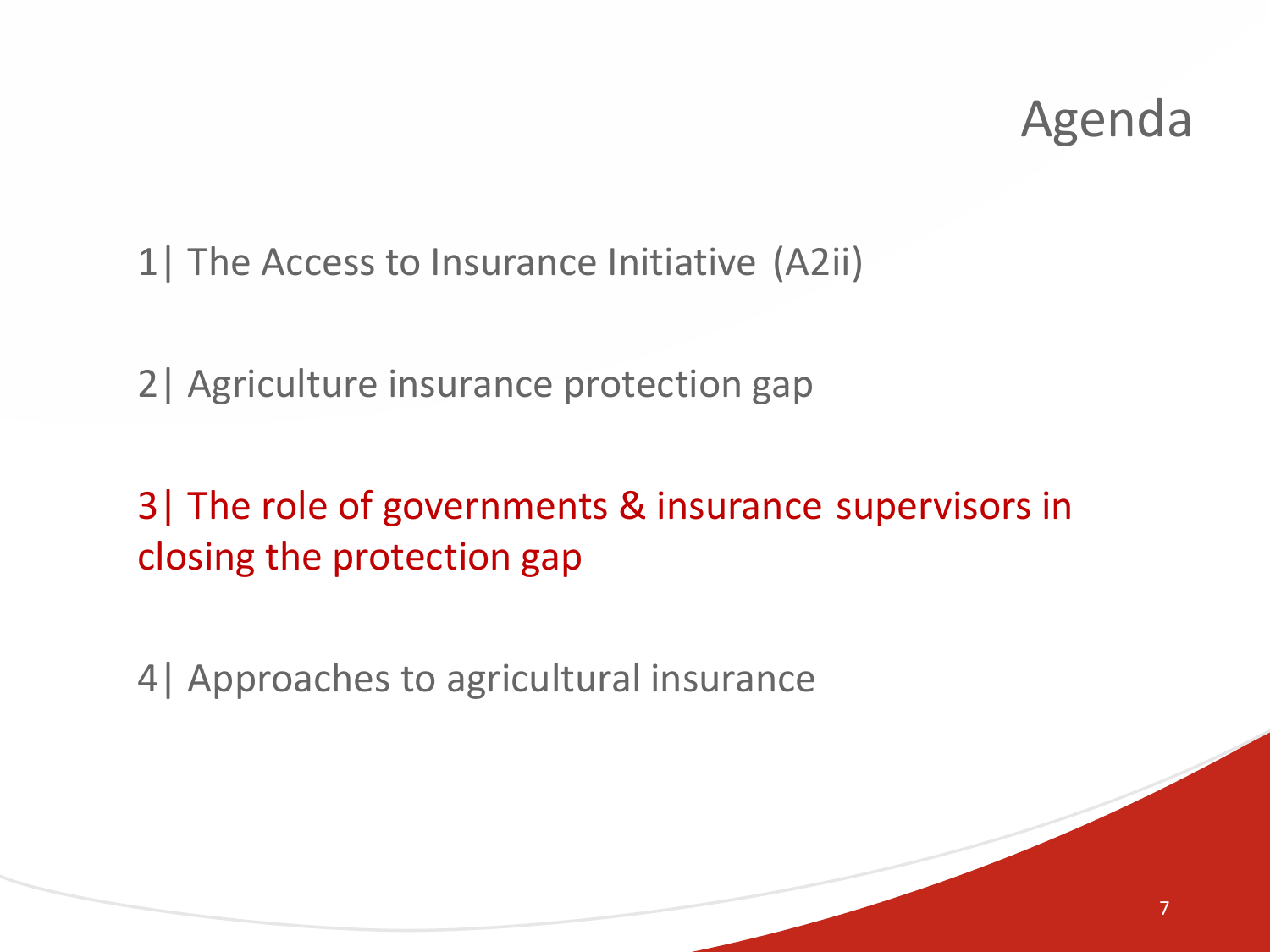1| The Access to Insurance Initiative (A2ii)

2| Agriculture insurance protection gap

3| The role of governments & insurance supervisors in closing the protection gap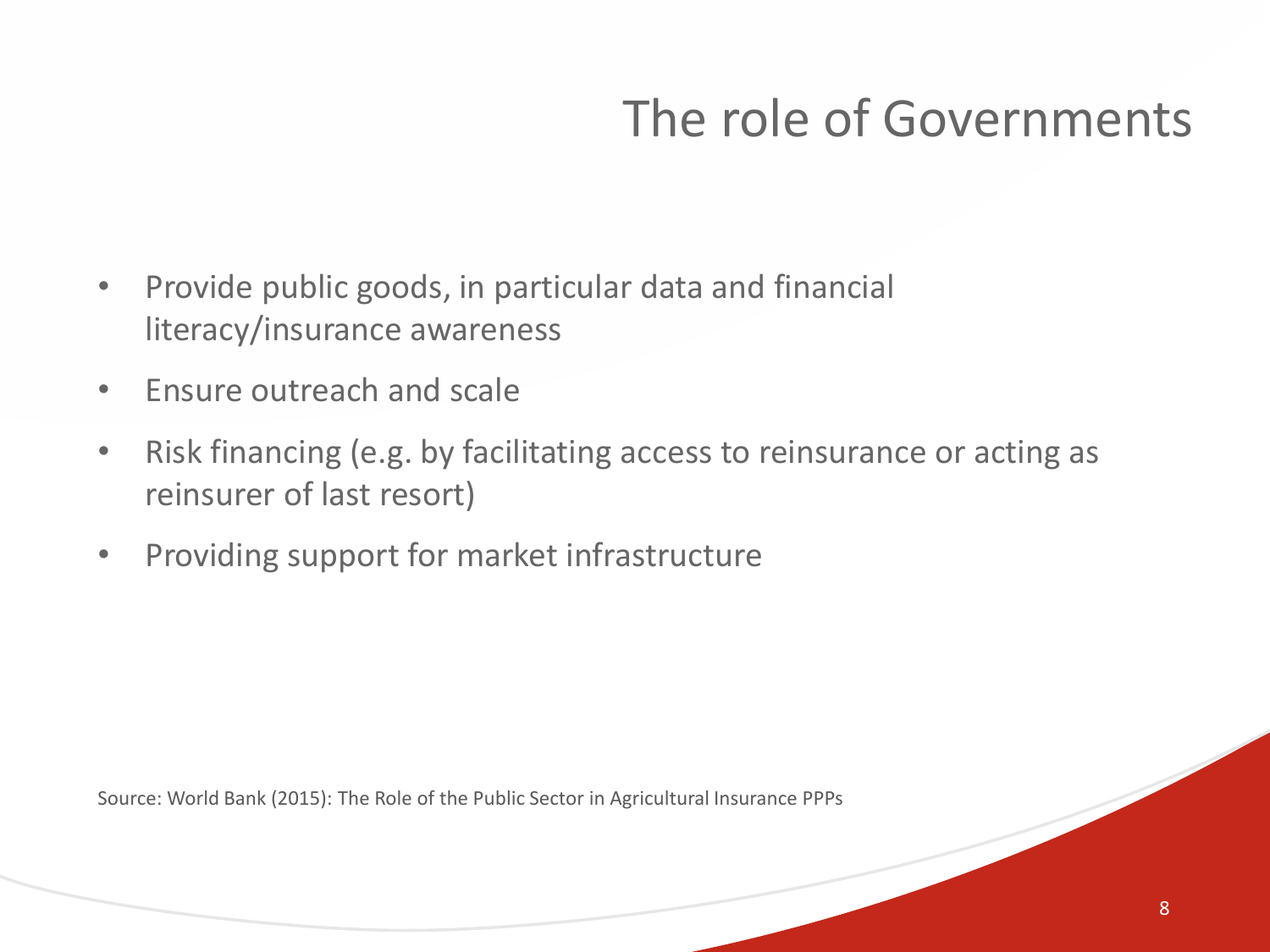# The role of Governments

- Provide public goods, in particular data and financial literacy/insurance awareness
- Ensure outreach and scale
- Risk financing (e.g. by facilitating access to reinsurance or acting as reinsurer of last resort)
- Providing support for market infrastructure

Source: World Bank (2015): The Role of the Public Sector in Agricultural Insurance PPPs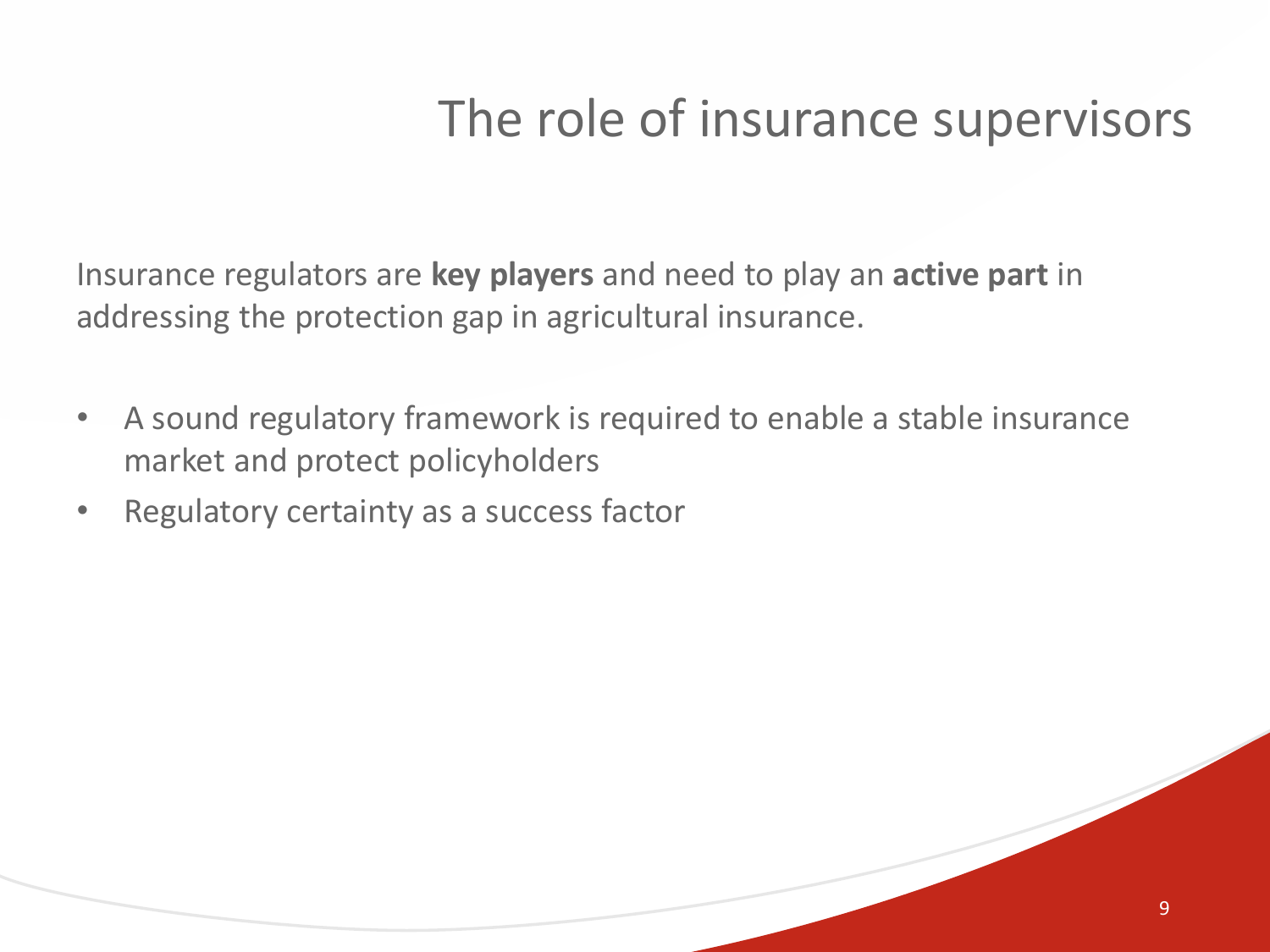### The role of insurance supervisors

Insurance regulators are **key players** and need to play an **active part** in addressing the protection gap in agricultural insurance.

- A sound regulatory framework is required to enable a stable insurance market and protect policyholders
- Regulatory certainty as a success factor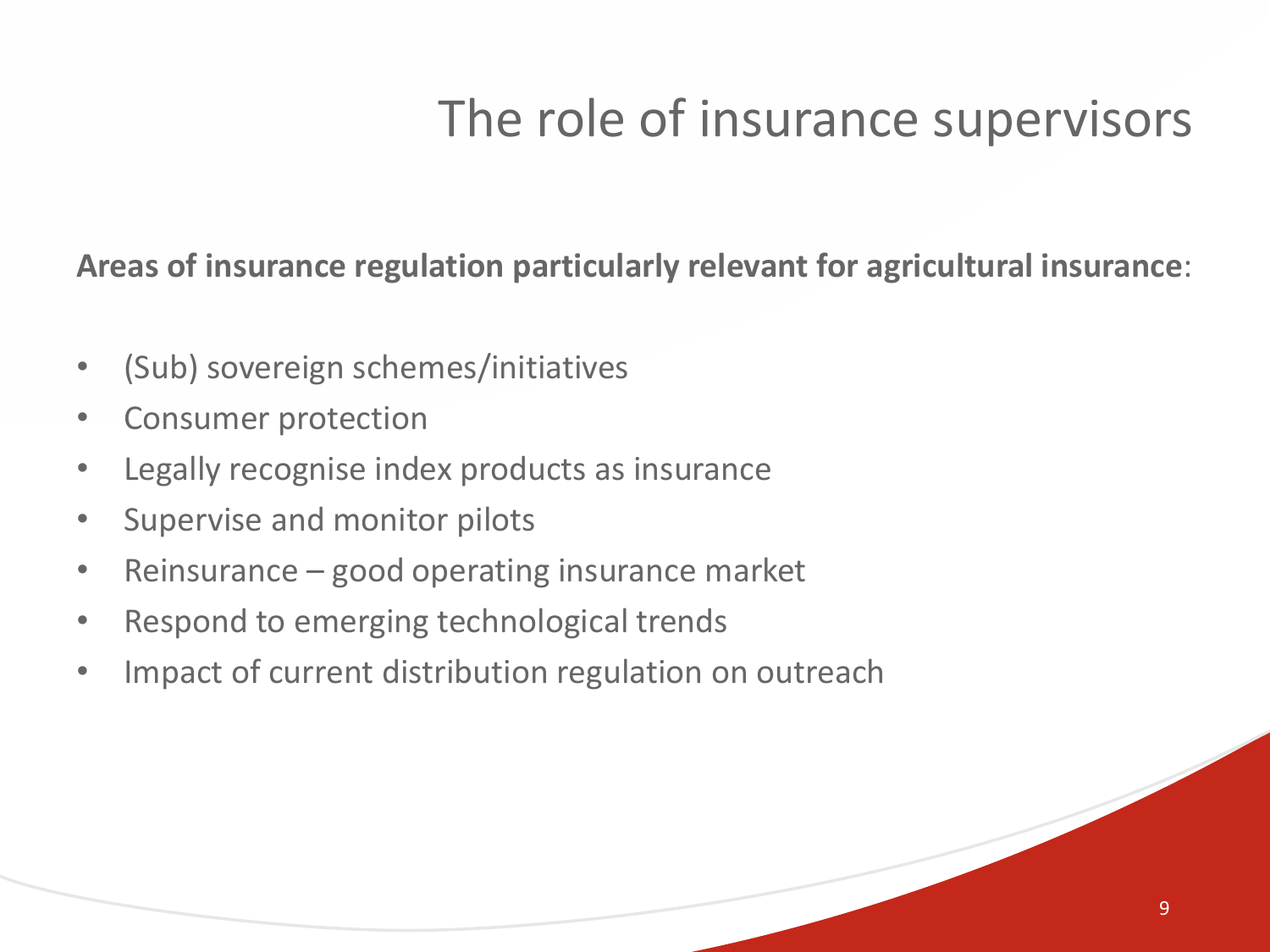# The role of insurance supervisors

**Areas of insurance regulation particularly relevant for agricultural insurance**:

- (Sub) sovereign schemes/initiatives
- Consumer protection
- Legally recognise index products as insurance
- Supervise and monitor pilots
- Reinsurance good operating insurance market
- Respond to emerging technological trends
- Impact of current distribution regulation on outreach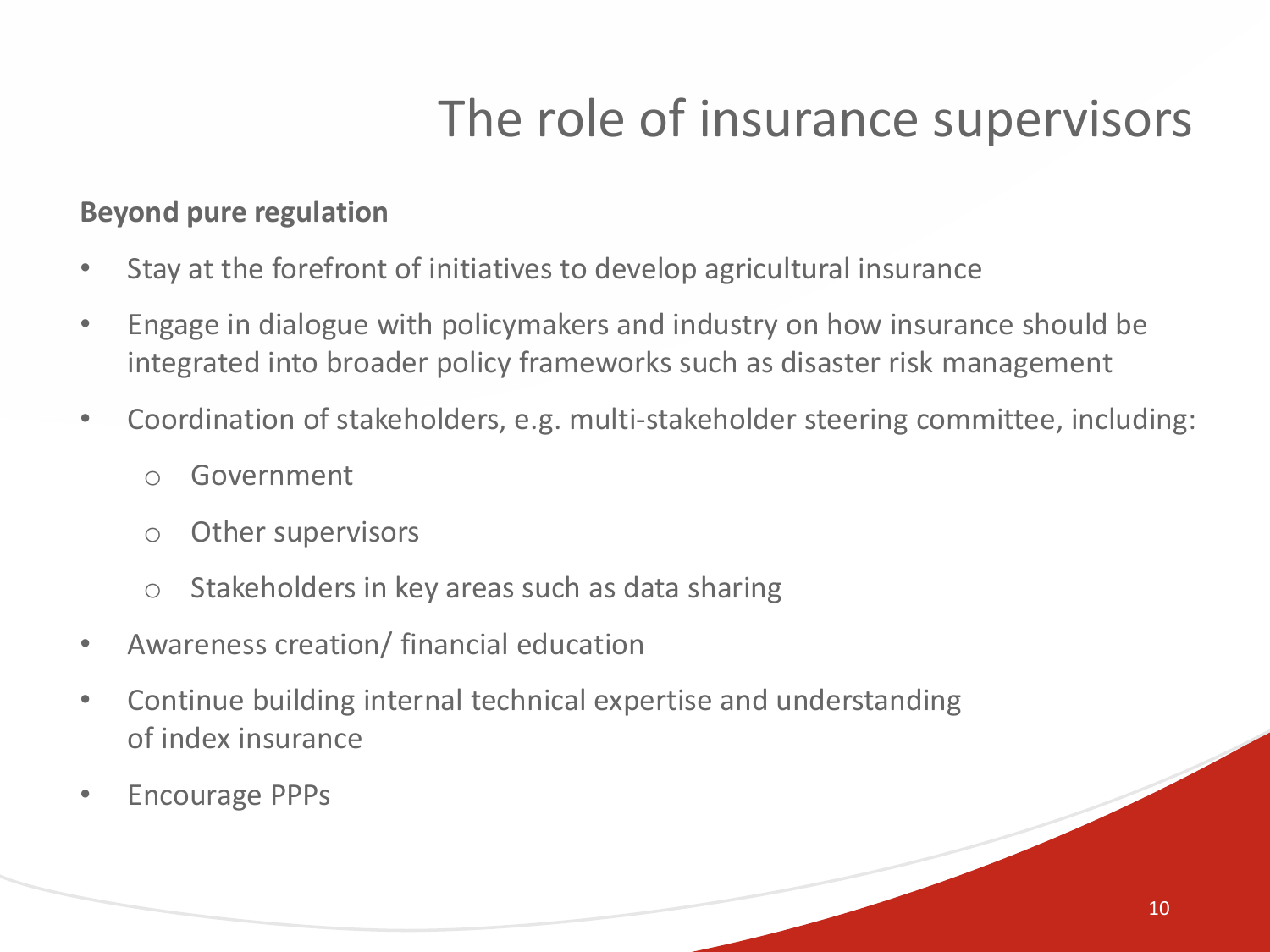# The role of insurance supervisors

#### **Beyond pure regulation**

- Stay at the forefront of initiatives to develop agricultural insurance
- Engage in dialogue with policymakers and industry on how insurance should be integrated into broader policy frameworks such as disaster risk management
- Coordination of stakeholders, e.g. multi-stakeholder steering committee, including:
	- o Government
	- o Other supervisors
	- o Stakeholders in key areas such as data sharing
- Awareness creation/ financial education
- Continue building internal technical expertise and understanding of index insurance
- Encourage PPPs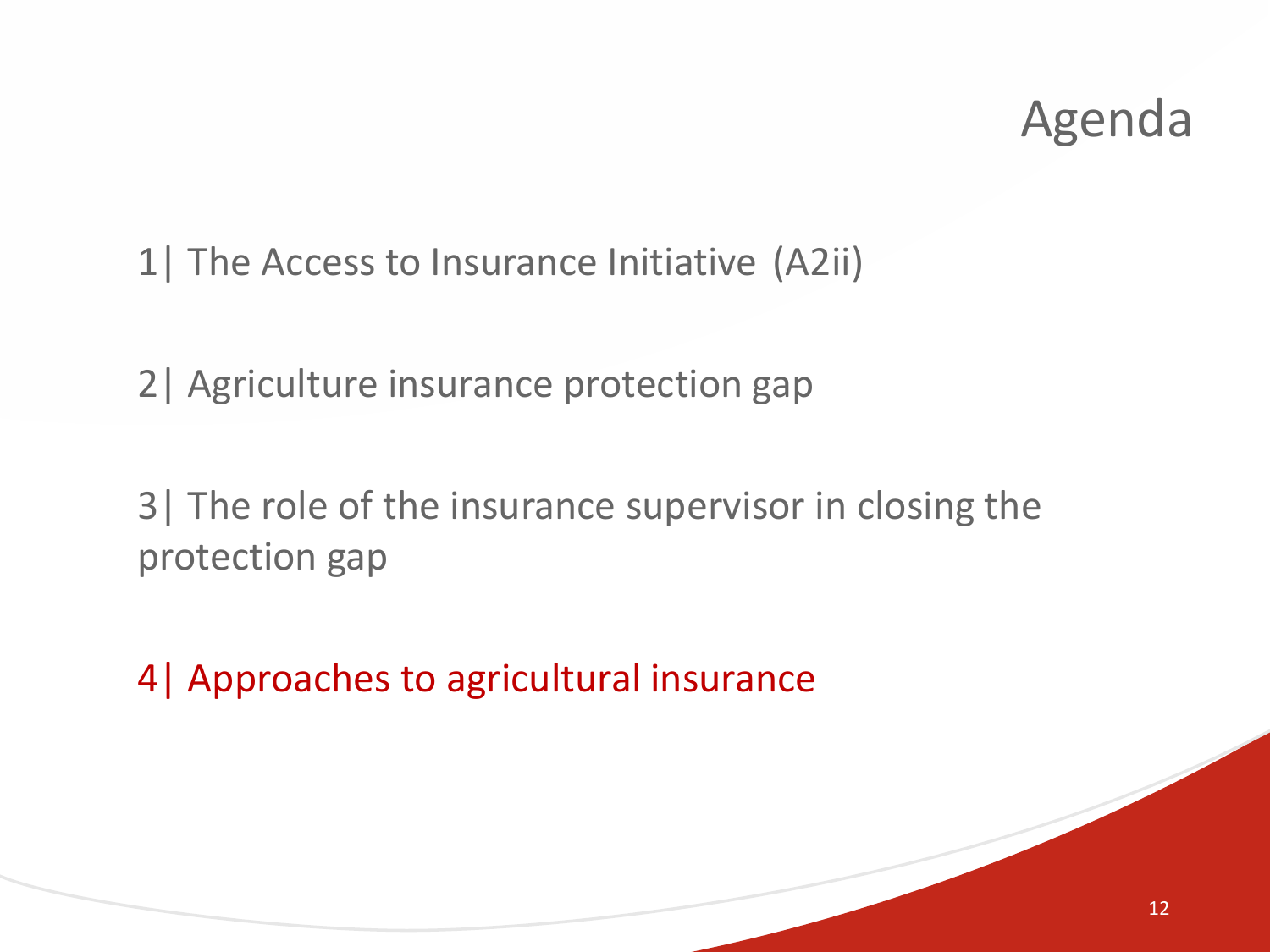1| The Access to Insurance Initiative (A2ii)

2| Agriculture insurance protection gap

3| The role of the insurance supervisor in closing the protection gap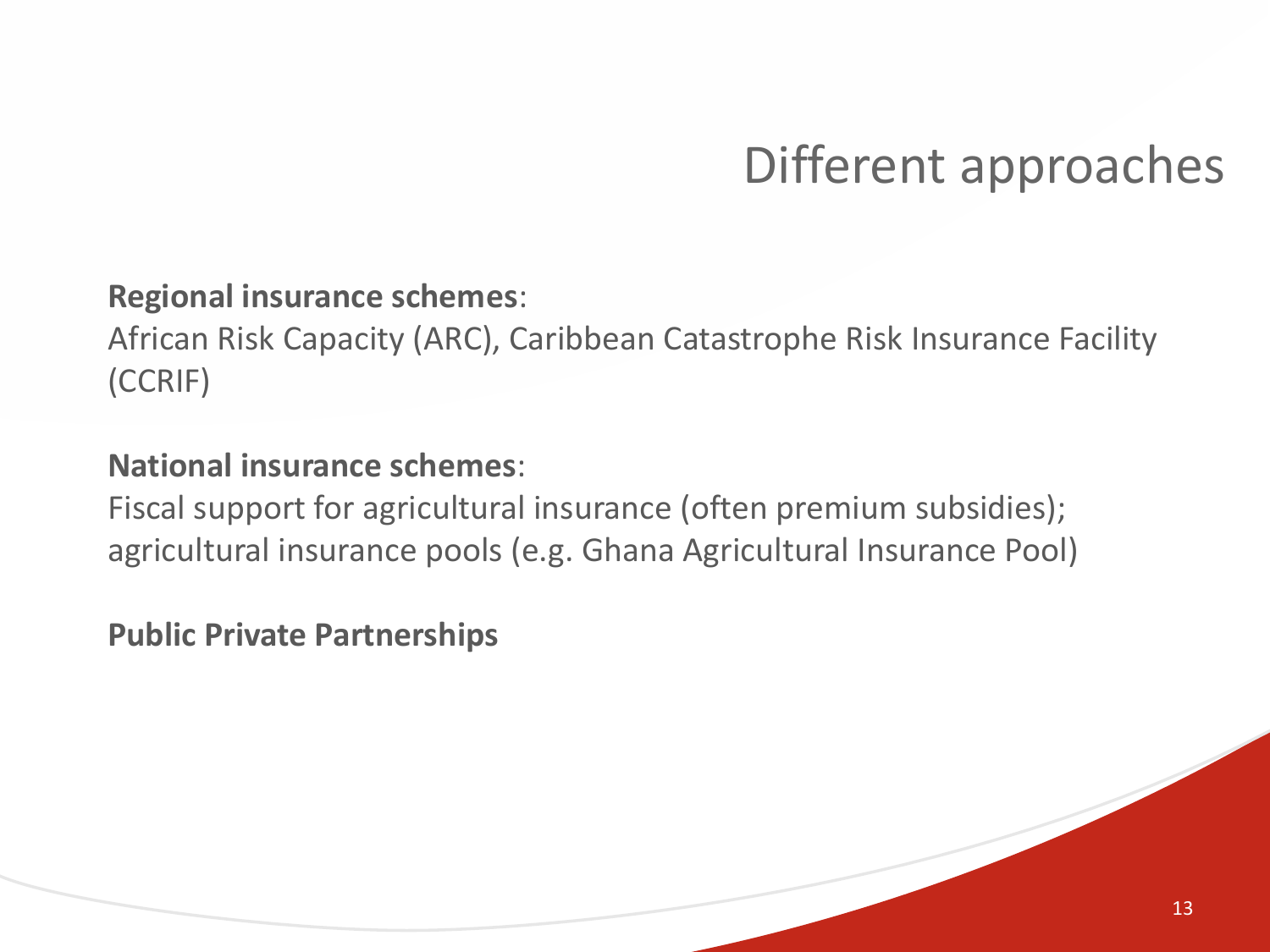### Different approaches

#### **Regional insurance schemes**:

African Risk Capacity (ARC), Caribbean Catastrophe Risk Insurance Facility (CCRIF)

#### **National insurance schemes**:

Fiscal support for agricultural insurance (often premium subsidies); agricultural insurance pools (e.g. Ghana Agricultural Insurance Pool)

**Public Private Partnerships**